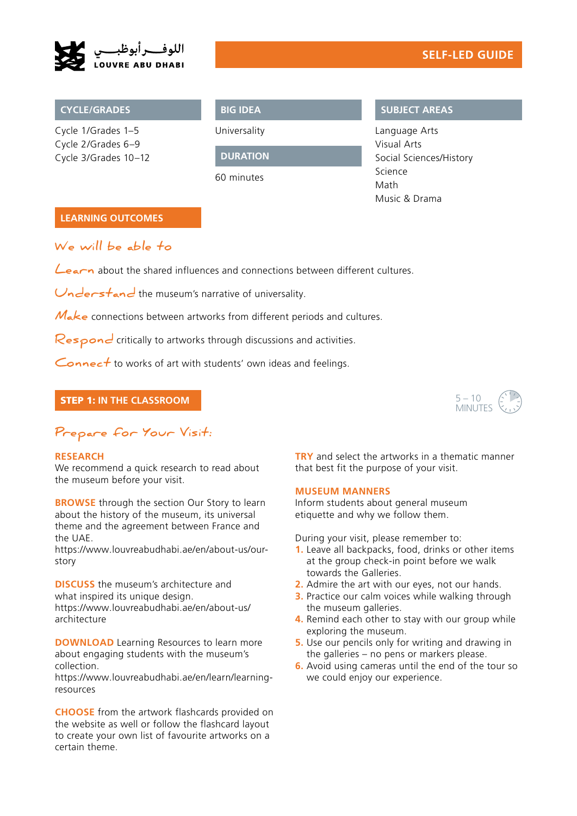

Cycle 1/Grades 1–5 Cycle 2/Grades 6–9 Cycle 3/Grades 10–12

# **BIG IDEA**

Universality

**DURATION**

60 minutes

## **CYCLE/GRADES SUBJECT AREAS**

Language Arts Visual Arts Social Sciences/History Science Math Music & Drama

## **LEARNING OUTCOMES**

# **We will be able to**

Learn about the shared influences and connections between different cultures.

Understand the museum's narrative of universality.

Make connections between artworks from different periods and cultures.

Respond critically to artworks through discussions and activities.

Connect to works of art with students' own ideas and feelings.

## STEP 1: **IN THE CLASSROOM**



# **Prepare for Your Visit:**

### **RESEARCH**

We recommend a quick research to read about the museum before your visit.

**BROWSE** through the section Our Story to learn about the history of the museum, its universal theme and the agreement between France and the UAE.

[https://www.louvreabudhabi.ae/en/about-us/our](https://www.louvreabudhabi.ae/en/about-us/our-story)[story](https://www.louvreabudhabi.ae/en/about-us/our-story)

**DISCUSS** the museum's architecture and what inspired its unique design. [https://www.louvreabudhabi.ae/en/about-us/](https://www.louvreabudhabi.ae/en/about-us/architecture  ) [architecture](https://www.louvreabudhabi.ae/en/about-us/architecture  ) 

**DOWNLOAD** Learning Resources to learn more about engaging students with the museum's collection.

[https://www.louvreabudhabi.ae/en/learn/learning](https://www.louvreabudhabi.ae/en/learn/learning-resources)[resources](https://www.louvreabudhabi.ae/en/learn/learning-resources)

**CHOOSE** from the artwork flashcards provided on the website as well or follow the flashcard layout to create your own list of favourite artworks on a certain theme.

**TRY** and select the artworks in a thematic manner that best fit the purpose of your visit.

### **MUSEUM MANNERS**

Inform students about general museum etiquette and why we follow them.

During your visit, please remember to:

- **1.** Leave all backpacks, food, drinks or other items at the group check-in point before we walk towards the Galleries.
- **2.** Admire the art with our eyes, not our hands.
- **3.** Practice our calm voices while walking through the museum galleries.
- **4.** Remind each other to stay with our group while exploring the museum.
- **5.** Use our pencils only for writing and drawing in the galleries – no pens or markers please.
- **6.** Avoid using cameras until the end of the tour so we could enjoy our experience.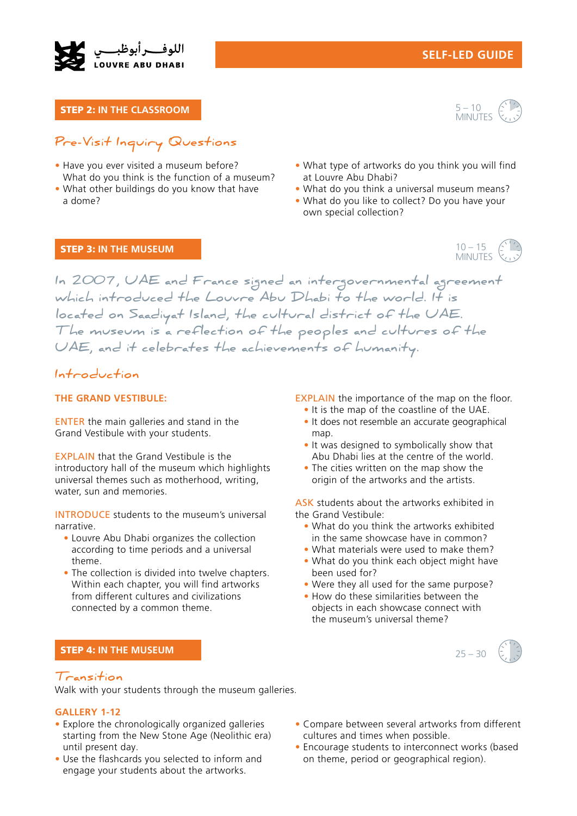

STEP 2: **IN THE CLASSROOM** 



# **Pre-Visit Inquiry Questions**

- Have you ever visited a museum before? What do you think is the function of a museum?
- What other buildings do you know that have a dome?
- What type of artworks do you think you will find at Louvre Abu Dhabi?
- What do you think a universal museum means?
- What do you like to collect? Do you have your own special collection?

### STEP 3: **IN THE MUSEUM**



**In 2007, UAE and France signed an intergovernmental agreement which introduced the Louvre Abu Dhabi to the world. It is located on Saadiyat Island, the cultural district of the UAE. The museum is a reflection of the peoples and cultures of the UAE, and it celebrates the achievements of humanity.**

# **Introduction**

#### **THE GRAND VESTIBULE:**

ENTER the main galleries and stand in the Grand Vestibule with your students.

EXPLAIN that the Grand Vestibule is the introductory hall of the museum which highlights universal themes such as motherhood, writing, water, sun and memories.

INTRODUCE students to the museum's universal narrative.

- Louvre Abu Dhabi organizes the collection according to time periods and a universal theme.
- The collection is divided into twelve chapters. Within each chapter, you will find artworks from different cultures and civilizations connected by a common theme.

### STEP 4: **IN THE MUSEUM**

## **Transition**

Walk with your students through the museum galleries.

#### **GALLERY 1-12**

- Explore the chronologically organized galleries starting from the New Stone Age (Neolithic era) until present day.
- Use the flashcards you selected to inform and engage your students about the artworks.

EXPLAIN the importance of the map on the floor.

- It is the map of the coastline of the UAE.
- It does not resemble an accurate geographical map.
- It was designed to symbolically show that Abu Dhabi lies at the centre of the world.
- The cities written on the map show the origin of the artworks and the artists.

ASK students about the artworks exhibited in the Grand Vestibule:

- What do you think the artworks exhibited in the same showcase have in common?
- What materials were used to make them?
- What do you think each object might have been used for?
- Were they all used for the same purpose?
- How do these similarities between the objects in each showcase connect with the museum's universal theme?



- Compare between several artworks from different cultures and times when possible.
- Encourage students to interconnect works (based on theme, period or geographical region).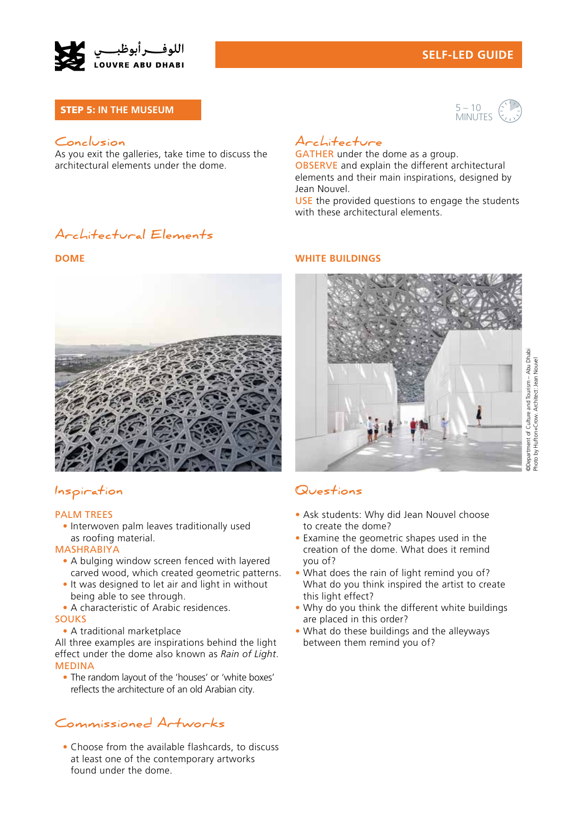

# **SELF-LED GUIDE**

### STEP 5: **IN THE MUSEUM**

## $5 - 10$ MINUTES

## **Conclusion**

As you exit the galleries, take time to discuss the architectural elements under the dome.

# **Architecture**

GATHER under the dome as a group. OBSERVE and explain the different architectural elements and their main inspirations, designed by Jean Nouvel.

USE the provided questions to engage the students with these architectural elements.

# **Architectural Elements**



# **Inspiration**

#### PALM TREES

• Interwoven palm leaves traditionally used as roofing material.

#### MASHRABIYA

- A bulging window screen fenced with layered carved wood, which created geometric patterns.
- It was designed to let air and light in without being able to see through.
- A characteristic of Arabic residences.

#### SOUKS

• A traditional marketplace

All three examples are inspirations behind the light effect under the dome also known as *Rain of Light*. MEDINA

• The random layout of the 'houses' or 'white boxes' reflects the architecture of an old Arabian city.

# **Commissioned Artworks**

• Choose from the available flashcards, to discuss at least one of the contemporary artworks found under the dome.

#### **DOME WHITE BUILDINGS**



# **Questions**

- Ask students: Why did Jean Nouvel choose to create the dome?
- Examine the geometric shapes used in the creation of the dome. What does it remind you of?
- What does the rain of light remind you of? What do you think inspired the artist to create this light effect?
- Why do you think the different white buildings are placed in this order?
- What do these buildings and the alleyways between them remind you of?